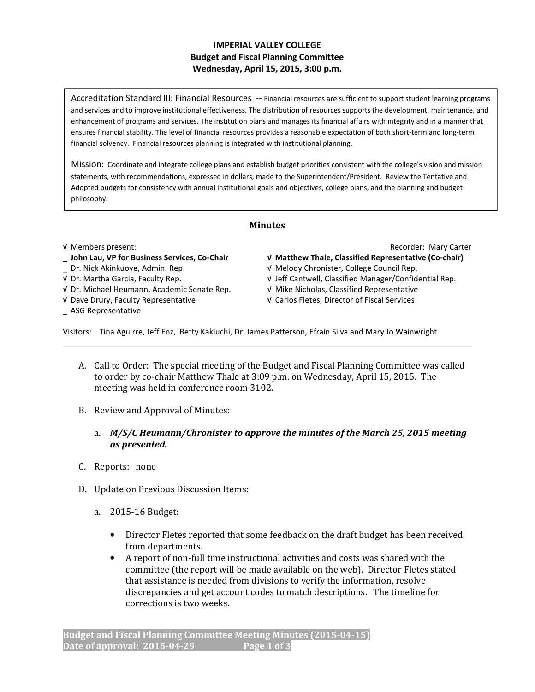# IMPERIAL VALLEY COLLEGE Budget and Fiscal Planning Committee Wednesday, April 15, 2015, 3:00 p.m.

Accreditation Standard III: Financial Resources -- Financial resources are sufficient to support student learning programs and services and to improve institutional effectiveness. The distribution of resources supports the development, maintenance, and enhancement of programs and services. The institution plans and manages its financial affairs with integrity and in a manner that ensures financial stability. The level of financial resources provides a reasonable expectation of both short-term and long-term financial solvency. Financial resources planning is integrated with institutional planning.

Mission: Coordinate and integrate college plans and establish budget priorities consistent with the college's vision and mission statements, with recommendations, expressed in dollars, made to the Superintendent/President. Review the Tentative and Adopted budgets for consistency with annual institutional goals and objectives, college plans, and the planning and budget philosophy.

## Minutes

# \_ John Lau, VP for Business Services, Co-Chair √ Matthew Thale, Classified Representative (Co-chair)

- 
- 
- √ Dr. Michael Heumann, Academic Senate Rep. √ Mike Nicholas, Classified Representative
- 
- \_ ASG Representative

√ Members present: Recorder: Mary Carter

- 
- \_ Dr. Nick Akinkuoye, Admin. Rep. √ Melody Chronister, College Council Rep.
- √ Dr. Martha Garcia, Faculty Rep. √ Jeff Cantwell, Classified Manager/Confidential Rep.
	-
- √ Dave Drury, Faculty Representative √ Carlos Fletes, Director of Fiscal Services

Visitors: Tina Aguirre, Jeff Enz, Betty Kakiuchi, Dr. James Patterson, Efrain Silva and Mary Jo Wainwright

- A. Call to Order: The special meeting of the Budget and Fiscal Planning Committee was called to order by co-chair Matthew Thale at 3:09 p.m. on Wednesday, April 15, 2015. The meeting was held in conference room 3102.
- B. Review and Approval of Minutes:
	- a. M/S/C Heumann/Chronister to approve the minutes of the March 25, 2015 meeting as presented.
- C. Reports: none
- D. Update on Previous Discussion Items:
	- a. 2015-16 Budget:
		- Director Fletes reported that some feedback on the draft budget has been received from departments.
		- A report of non-full time instructional activities and costs was shared with the committee (the report will be made available on the web). Director Fletes stated that assistance is needed from divisions to verify the information, resolve discrepancies and get account codes to match descriptions. The timeline for corrections is two weeks.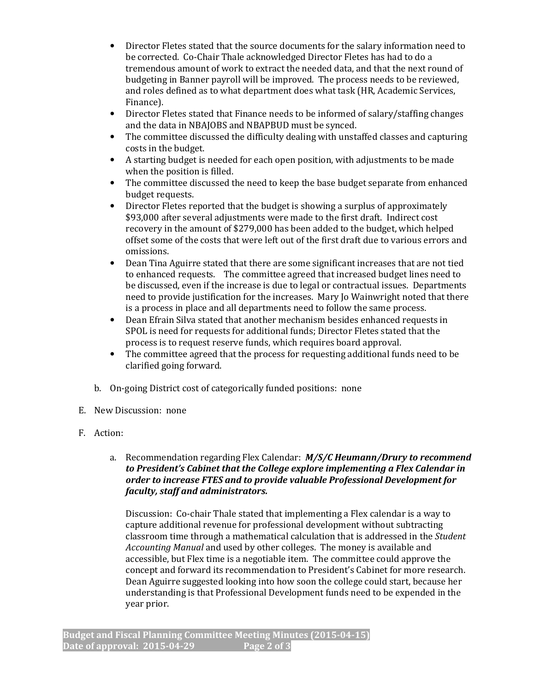- Director Fletes stated that the source documents for the salary information need to be corrected. Co-Chair Thale acknowledged Director Fletes has had to do a tremendous amount of work to extract the needed data, and that the next round of budgeting in Banner payroll will be improved. The process needs to be reviewed, and roles defined as to what department does what task (HR, Academic Services, Finance).
- Director Fletes stated that Finance needs to be informed of salary/staffing changes and the data in NBAJOBS and NBAPBUD must be synced.
- The committee discussed the difficulty dealing with unstaffed classes and capturing costs in the budget.
- A starting budget is needed for each open position, with adjustments to be made when the position is filled.
- The committee discussed the need to keep the base budget separate from enhanced budget requests.
- Director Fletes reported that the budget is showing a surplus of approximately \$93,000 after several adjustments were made to the first draft. Indirect cost recovery in the amount of \$279,000 has been added to the budget, which helped offset some of the costs that were left out of the first draft due to various errors and omissions.
- Dean Tina Aguirre stated that there are some significant increases that are not tied to enhanced requests. The committee agreed that increased budget lines need to be discussed, even if the increase is due to legal or contractual issues. Departments need to provide justification for the increases. Mary Jo Wainwright noted that there is a process in place and all departments need to follow the same process.
- Dean Efrain Silva stated that another mechanism besides enhanced requests in SPOL is need for requests for additional funds; Director Fletes stated that the process is to request reserve funds, which requires board approval.
- The committee agreed that the process for requesting additional funds need to be clarified going forward.
- b. On-going District cost of categorically funded positions: none
- E. New Discussion: none
- F. Action:

# a. Recommendation regarding Flex Calendar:  $M/S/C$  Heumann/Drury to recommend to President's Cabinet that the College explore implementing a Flex Calendar in order to increase FTES and to provide valuable Professional Development for faculty, staff and administrators.

Discussion: Co-chair Thale stated that implementing a Flex calendar is a way to capture additional revenue for professional development without subtracting classroom time through a mathematical calculation that is addressed in the *Student* Accounting Manual and used by other colleges. The money is available and accessible, but Flex time is a negotiable item. The committee could approve the concept and forward its recommendation to President's Cabinet for more research. Dean Aguirre suggested looking into how soon the college could start, because her understanding is that Professional Development funds need to be expended in the year prior.